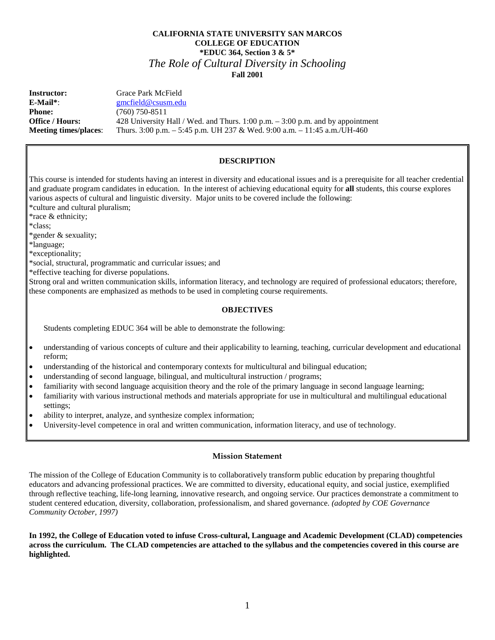# **CALIFORNIA STATE UNIVERSITY SAN MARCOS COLLEGE OF EDUCATION \*EDUC 364, Section 3 & 5\*** *The Role of Cultural Diversity in Schooling* **Fall 2001**

**Instructor:** Grace Park McField **E-Mail\***: [gmcfield@csusm.edu](mailto:gmcfield@csusm.edu) **Phone:** (760) 750-8511 **Office / Hours:** 428 University Hall / Wed. and Thurs. 1:00 p.m. – 3:00 p.m. and by appointment **Meeting times/places**: Thurs. 3:00 p.m. – 5:45 p.m. UH 237 & Wed. 9:00 a.m. – 11:45 a.m./UH-460

# **DESCRIPTION**

This course is intended for students having an interest in diversity and educational issues and is a prerequisite for all teacher credential and graduate program candidates in education. In the interest of achieving educational equity for **all** students, this course explores various aspects of cultural and linguistic diversity. Major units to be covered include the following: \*culture and cultural pluralism;

\*race & ethnicity;

\*class;

\*gender & sexuality;

\*language;

\*exceptionality;

\*social, structural, programmatic and curricular issues; and

\*effective teaching for diverse populations.

Strong oral and written communication skills, information literacy, and technology are required of professional educators; therefore, these components are emphasized as methods to be used in completing course requirements.

# **OBJECTIVES**

Students completing EDUC 364 will be able to demonstrate the following:

- understanding of various concepts of culture and their applicability to learning, teaching, curricular development and educational reform;
- understanding of the historical and contemporary contexts for multicultural and bilingual education;
- understanding of second language, bilingual, and multicultural instruction / programs;
- familiarity with second language acquisition theory and the role of the primary language in second language learning;
- familiarity with various instructional methods and materials appropriate for use in multicultural and multilingual educational settings;
- ability to interpret, analyze, and synthesize complex information;
- University-level competence in oral and written communication, information literacy, and use of technology.

# **Mission Statement**

The mission of the College of Education Community is to collaboratively transform public education by preparing thoughtful educators and advancing professional practices. We are committed to diversity, educational equity, and social justice, exemplified through reflective teaching, life-long learning, innovative research, and ongoing service. Our practices demonstrate a commitment to student centered education, diversity, collaboration, professionalism, and shared governance. *(adopted by COE Governance Community October, 1997)*

**In 1992, the College of Education voted to infuse Cross-cultural, Language and Academic Development (CLAD) competencies across the curriculum. The CLAD competencies are attached to the syllabus and the competencies covered in this course are highlighted.**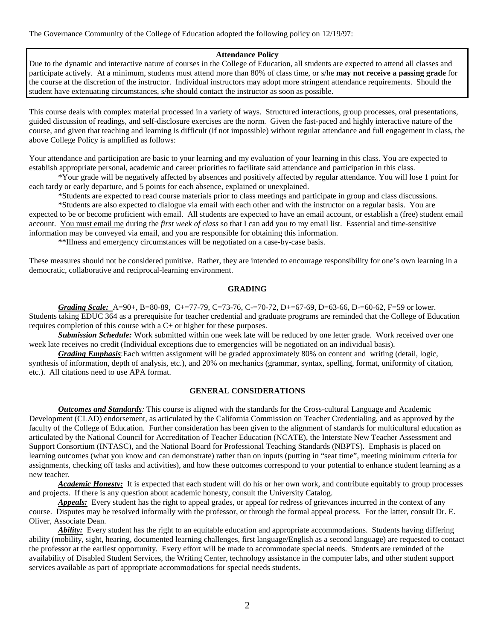The Governance Community of the College of Education adopted the following policy on 12/19/97:

### **Attendance Policy**

Due to the dynamic and interactive nature of courses in the College of Education, all students are expected to attend all classes and participate actively. At a minimum, students must attend more than 80% of class time, or s/he **may not receive a passing grade** for the course at the discretion of the instructor. Individual instructors may adopt more stringent attendance requirements. Should the student have extenuating circumstances, s/he should contact the instructor as soon as possible.

This course deals with complex material processed in a variety of ways. Structured interactions, group processes, oral presentations, guided discussion of readings, and self-disclosure exercises are the norm. Given the fast-paced and highly interactive nature of the course, and given that teaching and learning is difficult (if not impossible) without regular attendance and full engagement in class, the above College Policy is amplified as follows:

Your attendance and participation are basic to your learning and my evaluation of your learning in this class. You are expected to establish appropriate personal, academic and career priorities to facilitate said attendance and participation in this class.

\*Your grade will be negatively affected by absences and positively affected by regular attendance. You will lose 1 point for each tardy or early departure, and 5 points for each absence, explained or unexplained.

\*Students are expected to read course materials prior to class meetings and participate in group and class discussions.

\*Students are also expected to dialogue via email with each other and with the instructor on a regular basis. You are expected to be or become proficient with email. All students are expected to have an email account, or establish a (free) student email account. You must email me during the *first week of class* so that I can add you to my email list. Essential and time-sensitive information may be conveyed via email, and you are responsible for obtaining this information.

\*\*Illness and emergency circumstances will be negotiated on a case-by-case basis.

These measures should not be considered punitive. Rather, they are intended to encourage responsibility for one's own learning in a democratic, collaborative and reciprocal-learning environment.

### **GRADING**

*Grading Scale:* A=90+, B=80-89, C+=77-79, C=73-76, C-=70-72, D+=67-69, D=63-66, D-=60-62, F=59 or lower. Students taking EDUC 364 as a prerequisite for teacher credential and graduate programs are reminded that the College of Education requires completion of this course with a C+ or higher for these purposes.

*Submission Schedule:* Work submitted within one week late will be reduced by one letter grade. Work received over one week late receives no credit (Individual exceptions due to emergencies will be negotiated on an individual basis).

*Grading Emphasis*:Each written assignment will be graded approximately 80% on content and writing (detail, logic, synthesis of information, depth of analysis, etc.), and 20% on mechanics (grammar, syntax, spelling, format, uniformity of citation, etc.). All citations need to use APA format.

# **GENERAL CONSIDERATIONS**

*Outcomes and Standards:* This course is aligned with the standards for the Cross-cultural Language and Academic Development (CLAD) endorsement, as articulated by the California Commission on Teacher Credentialing, and as approved by the faculty of the College of Education. Further consideration has been given to the alignment of standards for multicultural education as articulated by the National Council for Accreditation of Teacher Education (NCATE), the Interstate New Teacher Assessment and Support Consortium (INTASC), and the National Board for Professional Teaching Standards (NBPTS). Emphasis is placed on learning outcomes (what you know and can demonstrate) rather than on inputs (putting in "seat time", meeting minimum criteria for assignments, checking off tasks and activities), and how these outcomes correspond to your potential to enhance student learning as a new teacher.

*Academic Honesty:* It is expected that each student will do his or her own work, and contribute equitably to group processes and projects. If there is any question about academic honesty, consult the University Catalog.

*Appeals:* Every student has the right to appeal grades, or appeal for redress of grievances incurred in the context of any course. Disputes may be resolved informally with the professor, or through the formal appeal process. For the latter, consult Dr. E. Oliver, Associate Dean.

*Ability:* Every student has the right to an equitable education and appropriate accommodations. Students having differing ability (mobility, sight, hearing, documented learning challenges, first language/English as a second language) are requested to contact the professor at the earliest opportunity. Every effort will be made to accommodate special needs. Students are reminded of the availability of Disabled Student Services, the Writing Center, technology assistance in the computer labs, and other student support services available as part of appropriate accommodations for special needs students.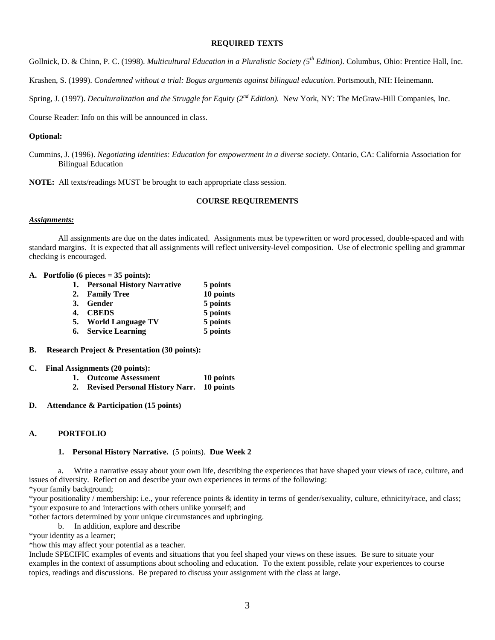### **REQUIRED TEXTS**

Gollnick, D. & Chinn, P. C. (1998). *Multicultural Education in a Pluralistic Society (5th Edition)*. Columbus, Ohio: Prentice Hall, Inc.

Krashen, S. (1999). *Condemned without a trial: Bogus arguments against bilingual education*. Portsmouth, NH: Heinemann.

Spring, J. (1997). *Deculturalization and the Struggle for Equity (2nd Edition).* New York, NY: The McGraw-Hill Companies, Inc.

Course Reader: Info on this will be announced in class.

#### **Optional:**

Cummins, J. (1996). *Negotiating identities: Education for empowerment in a diverse society*. Ontario, CA: California Association for Bilingual Education

**NOTE:** All texts/readings MUST be brought to each appropriate class session.

### **COURSE REQUIREMENTS**

#### *Assignments:*

All assignments are due on the dates indicated. Assignments must be typewritten or word processed, double-spaced and with standard margins. It is expected that all assignments will reflect university-level composition. Use of electronic spelling and grammar checking is encouraged.

### **A. Portfolio (6 pieces = 35 points):**

|    | 1. Personal History Narrative | 5 points  |
|----|-------------------------------|-----------|
|    | 2. Family Tree                | 10 points |
|    | 3. Gender                     | 5 points  |
| 4. | <b>CBEDS</b>                  | 5 points  |
|    | 5. World Language TV          | 5 points  |
|    | 6. Service Learning           | 5 points  |

**B. Research Project & Presentation (30 points):**

#### **C. Final Assignments (20 points):**

- **1. Outcome Assessment 10 points**
- **2. Revised Personal History Narr. 10 points**
- **D. Attendance & Participation (15 points)**

#### **A. PORTFOLIO**

#### **1. Personal History Narrative.** (5 points). **Due Week 2**

a. Write a narrative essay about your own life, describing the experiences that have shaped your views of race, culture, and issues of diversity. Reflect on and describe your own experiences in terms of the following:

\*your family background;

\*your positionality / membership: i.e., your reference points & identity in terms of gender/sexuality, culture, ethnicity/race, and class; \*your exposure to and interactions with others unlike yourself; and

\*other factors determined by your unique circumstances and upbringing.

b. In addition, explore and describe

\*your identity as a learner;

\*how this may affect your potential as a teacher.

Include SPECIFIC examples of events and situations that you feel shaped your views on these issues. Be sure to situate your examples in the context of assumptions about schooling and education. To the extent possible, relate your experiences to course topics, readings and discussions. Be prepared to discuss your assignment with the class at large.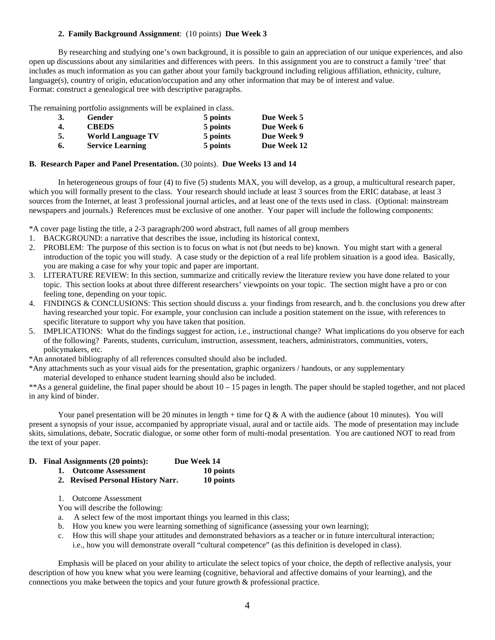### **2. Family Background Assignment**: (10 points) **Due Week 3**

By researching and studying one's own background, it is possible to gain an appreciation of our unique experiences, and also open up discussions about any similarities and differences with peers. In this assignment you are to construct a family 'tree' that includes as much information as you can gather about your family background including religious affiliation, ethnicity, culture, language(s), country of origin, education/occupation and any other information that may be of interest and value. Format: construct a genealogical tree with descriptive paragraphs.

The remaining portfolio assignments will be explained in class.

| 3. | Gender                   | 5 points | Due Week 5  |
|----|--------------------------|----------|-------------|
| 4. | <b>CBEDS</b>             | 5 points | Due Week 6  |
| 5. | <b>World Language TV</b> | 5 points | Due Week 9  |
| 6. | <b>Service Learning</b>  | 5 points | Due Week 12 |

### **B. Research Paper and Panel Presentation.** (30 points). **Due Weeks 13 and 14**

In heterogeneous groups of four (4) to five (5) students MAX, you will develop, as a group, a multicultural research paper, which you will formally present to the class. Your research should include at least 3 sources from the ERIC database, at least 3 sources from the Internet, at least 3 professional journal articles, and at least one of the texts used in class. (Optional: mainstream newspapers and journals.) References must be exclusive of one another. Your paper will include the following components:

\*A cover page listing the title, a 2-3 paragraph/200 word abstract, full names of all group members

- 1. BACKGROUND: a narrative that describes the issue, including its historical context,
- 2. PROBLEM: The purpose of this section is to focus on what is not (but needs to be) known. You might start with a general introduction of the topic you will study. A case study or the depiction of a real life problem situation is a good idea. Basically, you are making a case for why your topic and paper are important.
- 3. LITERATURE REVIEW: In this section, summarize and critically review the literature review you have done related to your topic. This section looks at about three different researchers' viewpoints on your topic. The section might have a pro or con feeling tone, depending on your topic.
- 4. FINDINGS & CONCLUSIONS: This section should discuss a. your findings from research, and b. the conclusions you drew after having researched your topic. For example, your conclusion can include a position statement on the issue, with references to specific literature to support why you have taken that position.
- 5. IMPLICATIONS: What do the findings suggest for action, i.e., instructional change? What implications do you observe for each of the following? Parents, students, curriculum, instruction, assessment, teachers, administrators, communities, voters, policymakers, etc.

\*An annotated bibliography of all references consulted should also be included.

\*Any attachments such as your visual aids for the presentation, graphic organizers / handouts, or any supplementary

material developed to enhance student learning should also be included.

\*\*As a general guideline, the final paper should be about 10 – 15 pages in length. The paper should be stapled together, and not placed in any kind of binder.

Your panel presentation will be 20 minutes in length  $+$  time for Q & A with the audience (about 10 minutes). You will present a synopsis of your issue, accompanied by appropriate visual, aural and or tactile aids. The mode of presentation may include skits, simulations, debate, Socratic dialogue, or some other form of multi-modal presentation. You are cautioned NOT to read from the text of your paper.

### **D. Final Assignments (20 points): Due Week 14**

- **1. Outcome Assessment 10 points**
- **2. Revised Personal History Narr. 10 points**
- 1. Outcome Assessment

You will describe the following:

- a. A select few of the most important things you learned in this class;
- b. How you knew you were learning something of significance (assessing your own learning);
- c. How this will shape your attitudes and demonstrated behaviors as a teacher or in future intercultural interaction; i.e., how you will demonstrate overall "cultural competence" (as this definition is developed in class).

Emphasis will be placed on your ability to articulate the select topics of your choice, the depth of reflective analysis, your description of how you knew what you were learning (cognitive, behavioral and affective domains of your learning), and the connections you make between the topics and your future growth & professional practice.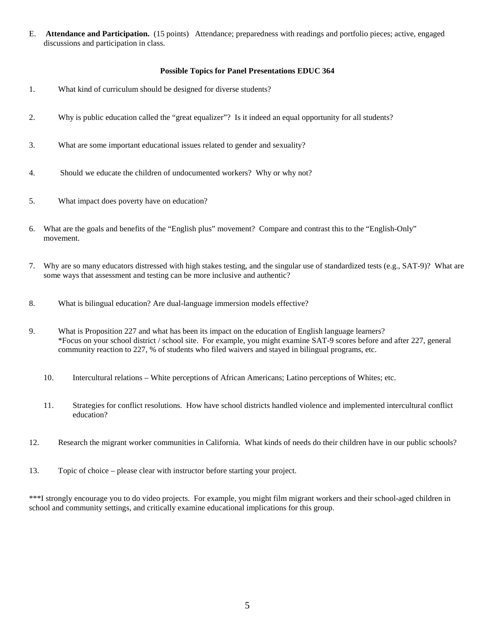E. **Attendance and Participation.** (15 points) Attendance; preparedness with readings and portfolio pieces; active, engaged discussions and participation in class.

### **Possible Topics for Panel Presentations EDUC 364**

- 1. What kind of curriculum should be designed for diverse students?
- 2. Why is public education called the "great equalizer"? Is it indeed an equal opportunity for all students?
- 3. What are some important educational issues related to gender and sexuality?
- 4. Should we educate the children of undocumented workers? Why or why not?
- 5. What impact does poverty have on education?
- 6. What are the goals and benefits of the "English plus" movement? Compare and contrast this to the "English-Only" movement.
- 7. Why are so many educators distressed with high stakes testing, and the singular use of standardized tests (e.g., SAT-9)? What are some ways that assessment and testing can be more inclusive and authentic?
- 8. What is bilingual education? Are dual-language immersion models effective?
- 9. What is Proposition 227 and what has been its impact on the education of English language learners? \*Focus on your school district / school site. For example, you might examine SAT-9 scores before and after 227, general community reaction to 227, % of students who filed waivers and stayed in bilingual programs, etc.
	- 10. Intercultural relations White perceptions of African Americans; Latino perceptions of Whites; etc.
	- 11. Strategies for conflict resolutions. How have school districts handled violence and implemented intercultural conflict education?
- 12. Research the migrant worker communities in California. What kinds of needs do their children have in our public schools?
- 13. Topic of choice please clear with instructor before starting your project.

\*\*\*I strongly encourage you to do video projects. For example, you might film migrant workers and their school-aged children in school and community settings, and critically examine educational implications for this group.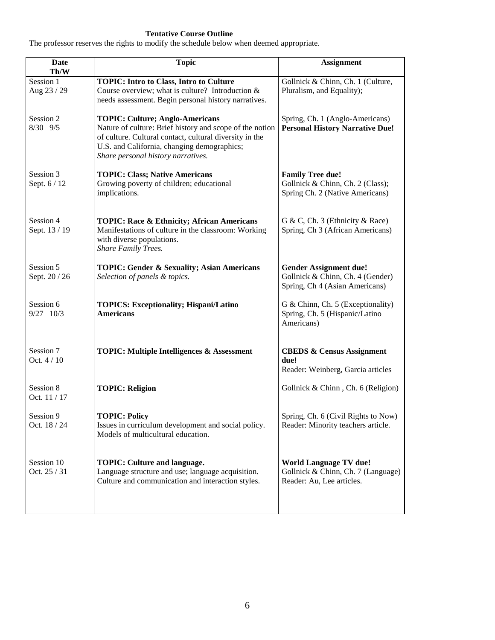# **Tentative Course Outline**

The professor reserves the rights to modify the schedule below when deemed appropriate.

| Date<br>Th/W               | <b>Topic</b>                                                                                                                                                                                                                                       | <b>Assignment</b>                                                                                   |
|----------------------------|----------------------------------------------------------------------------------------------------------------------------------------------------------------------------------------------------------------------------------------------------|-----------------------------------------------------------------------------------------------------|
| Session 1<br>Aug 23 / 29   | <b>TOPIC: Intro to Class, Intro to Culture</b><br>Course overview; what is culture? Introduction &<br>needs assessment. Begin personal history narratives.                                                                                         | Gollnick & Chinn, Ch. 1 (Culture,<br>Pluralism, and Equality);                                      |
| Session 2<br>8/30 9/5      | <b>TOPIC: Culture; Anglo-Americans</b><br>Nature of culture: Brief history and scope of the notion<br>of culture. Cultural contact, cultural diversity in the<br>U.S. and California, changing demographics;<br>Share personal history narratives. | Spring, Ch. 1 (Anglo-Americans)<br><b>Personal History Narrative Due!</b>                           |
| Session 3<br>Sept. 6 / 12  | <b>TOPIC: Class; Native Americans</b><br>Growing poverty of children; educational<br>implications.                                                                                                                                                 | <b>Family Tree due!</b><br>Gollnick & Chinn, Ch. 2 (Class);<br>Spring Ch. 2 (Native Americans)      |
| Session 4<br>Sept. 13 / 19 | <b>TOPIC: Race &amp; Ethnicity; African Americans</b><br>Manifestations of culture in the classroom: Working<br>with diverse populations.<br>Share Family Trees.                                                                                   | G & C, Ch. 3 (Ethnicity & Race)<br>Spring, Ch 3 (African Americans)                                 |
| Session 5<br>Sept. 20 / 26 | <b>TOPIC: Gender &amp; Sexuality; Asian Americans</b><br>Selection of panels & topics.                                                                                                                                                             | <b>Gender Assignment due!</b><br>Gollnick & Chinn, Ch. 4 (Gender)<br>Spring, Ch 4 (Asian Americans) |
| Session 6<br>$9/27$ 10/3   | <b>TOPICS: Exceptionality; Hispani/Latino</b><br><b>Americans</b>                                                                                                                                                                                  | G & Chinn, Ch. 5 (Exceptionality)<br>Spring, Ch. 5 (Hispanic/Latino<br>Americans)                   |
| Session 7<br>Oct. 4 / 10   | <b>TOPIC: Multiple Intelligences &amp; Assessment</b>                                                                                                                                                                                              | <b>CBEDS &amp; Census Assignment</b><br>due!<br>Reader: Weinberg, Garcia articles                   |
| Session 8<br>Oct. 11 / 17  | <b>TOPIC: Religion</b>                                                                                                                                                                                                                             | Gollnick & Chinn, Ch. 6 (Religion)                                                                  |
| Session 9<br>Oct. 18 / 24  | <b>TOPIC: Policy</b><br>Issues in curriculum development and social policy.<br>Models of multicultural education.                                                                                                                                  | Spring, Ch. 6 (Civil Rights to Now)<br>Reader: Minority teachers article.                           |
| Session 10<br>Oct. 25 / 31 | <b>TOPIC: Culture and language.</b><br>Language structure and use; language acquisition.<br>Culture and communication and interaction styles.                                                                                                      | <b>World Language TV due!</b><br>Gollnick & Chinn, Ch. 7 (Language)<br>Reader: Au, Lee articles.    |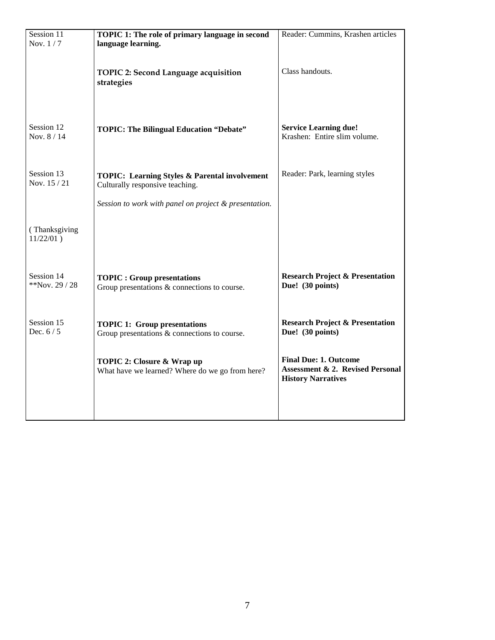| Session 11<br>Nov. 1/7        | TOPIC 1: The role of primary language in second<br>language learning.                       | Reader: Cummins, Krashen articles                                                                        |
|-------------------------------|---------------------------------------------------------------------------------------------|----------------------------------------------------------------------------------------------------------|
|                               | <b>TOPIC 2: Second Language acquisition</b><br>strategies                                   | Class handouts.                                                                                          |
| Session 12<br>Nov. 8 / 14     | <b>TOPIC: The Bilingual Education "Debate"</b>                                              | <b>Service Learning due!</b><br>Krashen: Entire slim volume.                                             |
| Session 13<br>Nov. 15 / 21    | <b>TOPIC: Learning Styles &amp; Parental involvement</b><br>Culturally responsive teaching. | Reader: Park, learning styles                                                                            |
|                               | Session to work with panel on project & presentation.                                       |                                                                                                          |
| (Thanksgiving<br>$11/22/01$ ) |                                                                                             |                                                                                                          |
| Session 14<br>**Nov. 29 / 28  | <b>TOPIC: Group presentations</b><br>Group presentations & connections to course.           | <b>Research Project &amp; Presentation</b><br>Due! (30 points)                                           |
| Session 15<br>Dec. $6/5$      | <b>TOPIC 1: Group presentations</b><br>Group presentations $&$ connections to course.       | <b>Research Project &amp; Presentation</b><br>Due! (30 points)                                           |
|                               | TOPIC 2: Closure & Wrap up<br>What have we learned? Where do we go from here?               | <b>Final Due: 1. Outcome</b><br><b>Assessment &amp; 2. Revised Personal</b><br><b>History Narratives</b> |
|                               |                                                                                             |                                                                                                          |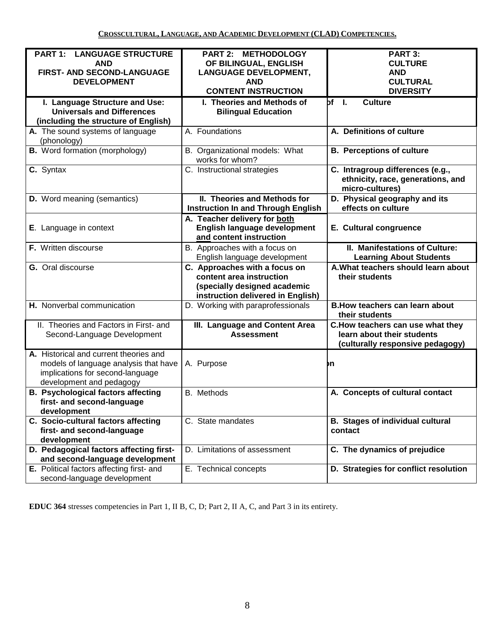| <b>PART 1: LANGUAGE STRUCTURE</b><br><b>AND</b><br>FIRST- AND SECOND-LANGUAGE<br><b>DEVELOPMENT</b><br>I. Language Structure and Use:<br><b>Universals and Differences</b><br>(including the structure of English)<br>A. The sound systems of language<br>(phonology)<br><b>B.</b> Word formation (morphology)<br>C. Syntax<br><b>D.</b> Word meaning (semantics)<br>E. Language in context<br>F. Written discourse<br>G. Oral discourse<br>H. Nonverbal communication<br>II. Theories and Factors in First- and<br>Second-Language Development<br>A. Historical and current theories and<br>models of language analysis that have<br>A. Purpose<br>implications for second-language<br>development and pedagogy | PART 2: METHODOLOGY<br>OF BILINGUAL, ENGLISH<br><b>LANGUAGE DEVELOPMENT,</b><br><b>AND</b><br><b>CONTENT INSTRUCTION</b><br>I. Theories and Methods of<br><b>Bilingual Education</b><br>A. Foundations<br>B. Organizational models: What<br>works for whom?<br>C. Instructional strategies<br>II. Theories and Methods for<br><b>Instruction In and Through English</b><br>A. Teacher delivery for both<br>English language development<br>and content instruction<br>B. Approaches with a focus on | PART 3:<br><b>CULTURE</b><br><b>AND</b><br><b>CULTURAL</b><br><b>DIVERSITY</b><br>$bf - I$ .<br>Culture<br>A. Definitions of culture<br><b>B. Perceptions of culture</b><br>C. Intragroup differences (e.g.,<br>ethnicity, race, generations, and<br>micro-cultures)<br>D. Physical geography and its<br>effects on culture<br>E. Cultural congruence<br>II. Manifestations of Culture: |
|------------------------------------------------------------------------------------------------------------------------------------------------------------------------------------------------------------------------------------------------------------------------------------------------------------------------------------------------------------------------------------------------------------------------------------------------------------------------------------------------------------------------------------------------------------------------------------------------------------------------------------------------------------------------------------------------------------------|-----------------------------------------------------------------------------------------------------------------------------------------------------------------------------------------------------------------------------------------------------------------------------------------------------------------------------------------------------------------------------------------------------------------------------------------------------------------------------------------------------|-----------------------------------------------------------------------------------------------------------------------------------------------------------------------------------------------------------------------------------------------------------------------------------------------------------------------------------------------------------------------------------------|
|                                                                                                                                                                                                                                                                                                                                                                                                                                                                                                                                                                                                                                                                                                                  |                                                                                                                                                                                                                                                                                                                                                                                                                                                                                                     |                                                                                                                                                                                                                                                                                                                                                                                         |
|                                                                                                                                                                                                                                                                                                                                                                                                                                                                                                                                                                                                                                                                                                                  |                                                                                                                                                                                                                                                                                                                                                                                                                                                                                                     |                                                                                                                                                                                                                                                                                                                                                                                         |
|                                                                                                                                                                                                                                                                                                                                                                                                                                                                                                                                                                                                                                                                                                                  |                                                                                                                                                                                                                                                                                                                                                                                                                                                                                                     |                                                                                                                                                                                                                                                                                                                                                                                         |
|                                                                                                                                                                                                                                                                                                                                                                                                                                                                                                                                                                                                                                                                                                                  |                                                                                                                                                                                                                                                                                                                                                                                                                                                                                                     |                                                                                                                                                                                                                                                                                                                                                                                         |
|                                                                                                                                                                                                                                                                                                                                                                                                                                                                                                                                                                                                                                                                                                                  |                                                                                                                                                                                                                                                                                                                                                                                                                                                                                                     |                                                                                                                                                                                                                                                                                                                                                                                         |
|                                                                                                                                                                                                                                                                                                                                                                                                                                                                                                                                                                                                                                                                                                                  |                                                                                                                                                                                                                                                                                                                                                                                                                                                                                                     |                                                                                                                                                                                                                                                                                                                                                                                         |
|                                                                                                                                                                                                                                                                                                                                                                                                                                                                                                                                                                                                                                                                                                                  |                                                                                                                                                                                                                                                                                                                                                                                                                                                                                                     |                                                                                                                                                                                                                                                                                                                                                                                         |
|                                                                                                                                                                                                                                                                                                                                                                                                                                                                                                                                                                                                                                                                                                                  |                                                                                                                                                                                                                                                                                                                                                                                                                                                                                                     |                                                                                                                                                                                                                                                                                                                                                                                         |
|                                                                                                                                                                                                                                                                                                                                                                                                                                                                                                                                                                                                                                                                                                                  |                                                                                                                                                                                                                                                                                                                                                                                                                                                                                                     |                                                                                                                                                                                                                                                                                                                                                                                         |
|                                                                                                                                                                                                                                                                                                                                                                                                                                                                                                                                                                                                                                                                                                                  |                                                                                                                                                                                                                                                                                                                                                                                                                                                                                                     |                                                                                                                                                                                                                                                                                                                                                                                         |
|                                                                                                                                                                                                                                                                                                                                                                                                                                                                                                                                                                                                                                                                                                                  |                                                                                                                                                                                                                                                                                                                                                                                                                                                                                                     |                                                                                                                                                                                                                                                                                                                                                                                         |
|                                                                                                                                                                                                                                                                                                                                                                                                                                                                                                                                                                                                                                                                                                                  |                                                                                                                                                                                                                                                                                                                                                                                                                                                                                                     |                                                                                                                                                                                                                                                                                                                                                                                         |
|                                                                                                                                                                                                                                                                                                                                                                                                                                                                                                                                                                                                                                                                                                                  |                                                                                                                                                                                                                                                                                                                                                                                                                                                                                                     |                                                                                                                                                                                                                                                                                                                                                                                         |
|                                                                                                                                                                                                                                                                                                                                                                                                                                                                                                                                                                                                                                                                                                                  |                                                                                                                                                                                                                                                                                                                                                                                                                                                                                                     |                                                                                                                                                                                                                                                                                                                                                                                         |
|                                                                                                                                                                                                                                                                                                                                                                                                                                                                                                                                                                                                                                                                                                                  |                                                                                                                                                                                                                                                                                                                                                                                                                                                                                                     |                                                                                                                                                                                                                                                                                                                                                                                         |
|                                                                                                                                                                                                                                                                                                                                                                                                                                                                                                                                                                                                                                                                                                                  |                                                                                                                                                                                                                                                                                                                                                                                                                                                                                                     |                                                                                                                                                                                                                                                                                                                                                                                         |
|                                                                                                                                                                                                                                                                                                                                                                                                                                                                                                                                                                                                                                                                                                                  |                                                                                                                                                                                                                                                                                                                                                                                                                                                                                                     |                                                                                                                                                                                                                                                                                                                                                                                         |
|                                                                                                                                                                                                                                                                                                                                                                                                                                                                                                                                                                                                                                                                                                                  |                                                                                                                                                                                                                                                                                                                                                                                                                                                                                                     |                                                                                                                                                                                                                                                                                                                                                                                         |
|                                                                                                                                                                                                                                                                                                                                                                                                                                                                                                                                                                                                                                                                                                                  |                                                                                                                                                                                                                                                                                                                                                                                                                                                                                                     |                                                                                                                                                                                                                                                                                                                                                                                         |
|                                                                                                                                                                                                                                                                                                                                                                                                                                                                                                                                                                                                                                                                                                                  |                                                                                                                                                                                                                                                                                                                                                                                                                                                                                                     |                                                                                                                                                                                                                                                                                                                                                                                         |
|                                                                                                                                                                                                                                                                                                                                                                                                                                                                                                                                                                                                                                                                                                                  |                                                                                                                                                                                                                                                                                                                                                                                                                                                                                                     |                                                                                                                                                                                                                                                                                                                                                                                         |
|                                                                                                                                                                                                                                                                                                                                                                                                                                                                                                                                                                                                                                                                                                                  |                                                                                                                                                                                                                                                                                                                                                                                                                                                                                                     |                                                                                                                                                                                                                                                                                                                                                                                         |
|                                                                                                                                                                                                                                                                                                                                                                                                                                                                                                                                                                                                                                                                                                                  |                                                                                                                                                                                                                                                                                                                                                                                                                                                                                                     |                                                                                                                                                                                                                                                                                                                                                                                         |
|                                                                                                                                                                                                                                                                                                                                                                                                                                                                                                                                                                                                                                                                                                                  | English language development                                                                                                                                                                                                                                                                                                                                                                                                                                                                        | <b>Learning About Students</b>                                                                                                                                                                                                                                                                                                                                                          |
|                                                                                                                                                                                                                                                                                                                                                                                                                                                                                                                                                                                                                                                                                                                  | C. Approaches with a focus on                                                                                                                                                                                                                                                                                                                                                                                                                                                                       | A. What teachers should learn about                                                                                                                                                                                                                                                                                                                                                     |
|                                                                                                                                                                                                                                                                                                                                                                                                                                                                                                                                                                                                                                                                                                                  | content area instruction                                                                                                                                                                                                                                                                                                                                                                                                                                                                            | their students                                                                                                                                                                                                                                                                                                                                                                          |
|                                                                                                                                                                                                                                                                                                                                                                                                                                                                                                                                                                                                                                                                                                                  | (specially designed academic                                                                                                                                                                                                                                                                                                                                                                                                                                                                        |                                                                                                                                                                                                                                                                                                                                                                                         |
|                                                                                                                                                                                                                                                                                                                                                                                                                                                                                                                                                                                                                                                                                                                  | instruction delivered in English)                                                                                                                                                                                                                                                                                                                                                                                                                                                                   |                                                                                                                                                                                                                                                                                                                                                                                         |
|                                                                                                                                                                                                                                                                                                                                                                                                                                                                                                                                                                                                                                                                                                                  | D. Working with paraprofessionals                                                                                                                                                                                                                                                                                                                                                                                                                                                                   | <b>B.How teachers can learn about</b>                                                                                                                                                                                                                                                                                                                                                   |
|                                                                                                                                                                                                                                                                                                                                                                                                                                                                                                                                                                                                                                                                                                                  |                                                                                                                                                                                                                                                                                                                                                                                                                                                                                                     | their students                                                                                                                                                                                                                                                                                                                                                                          |
|                                                                                                                                                                                                                                                                                                                                                                                                                                                                                                                                                                                                                                                                                                                  | III. Language and Content Area                                                                                                                                                                                                                                                                                                                                                                                                                                                                      | C. How teachers can use what they                                                                                                                                                                                                                                                                                                                                                       |
|                                                                                                                                                                                                                                                                                                                                                                                                                                                                                                                                                                                                                                                                                                                  | <b>Assessment</b>                                                                                                                                                                                                                                                                                                                                                                                                                                                                                   | learn about their students                                                                                                                                                                                                                                                                                                                                                              |
|                                                                                                                                                                                                                                                                                                                                                                                                                                                                                                                                                                                                                                                                                                                  |                                                                                                                                                                                                                                                                                                                                                                                                                                                                                                     | (culturally responsive pedagogy)                                                                                                                                                                                                                                                                                                                                                        |
|                                                                                                                                                                                                                                                                                                                                                                                                                                                                                                                                                                                                                                                                                                                  |                                                                                                                                                                                                                                                                                                                                                                                                                                                                                                     |                                                                                                                                                                                                                                                                                                                                                                                         |
|                                                                                                                                                                                                                                                                                                                                                                                                                                                                                                                                                                                                                                                                                                                  |                                                                                                                                                                                                                                                                                                                                                                                                                                                                                                     |                                                                                                                                                                                                                                                                                                                                                                                         |
|                                                                                                                                                                                                                                                                                                                                                                                                                                                                                                                                                                                                                                                                                                                  |                                                                                                                                                                                                                                                                                                                                                                                                                                                                                                     | þη                                                                                                                                                                                                                                                                                                                                                                                      |
|                                                                                                                                                                                                                                                                                                                                                                                                                                                                                                                                                                                                                                                                                                                  |                                                                                                                                                                                                                                                                                                                                                                                                                                                                                                     |                                                                                                                                                                                                                                                                                                                                                                                         |
|                                                                                                                                                                                                                                                                                                                                                                                                                                                                                                                                                                                                                                                                                                                  |                                                                                                                                                                                                                                                                                                                                                                                                                                                                                                     |                                                                                                                                                                                                                                                                                                                                                                                         |
| <b>B. Psychological factors affecting</b><br><b>B.</b> Methods                                                                                                                                                                                                                                                                                                                                                                                                                                                                                                                                                                                                                                                   |                                                                                                                                                                                                                                                                                                                                                                                                                                                                                                     | A. Concepts of cultural contact                                                                                                                                                                                                                                                                                                                                                         |
| first- and second-language                                                                                                                                                                                                                                                                                                                                                                                                                                                                                                                                                                                                                                                                                       |                                                                                                                                                                                                                                                                                                                                                                                                                                                                                                     |                                                                                                                                                                                                                                                                                                                                                                                         |
| development                                                                                                                                                                                                                                                                                                                                                                                                                                                                                                                                                                                                                                                                                                      |                                                                                                                                                                                                                                                                                                                                                                                                                                                                                                     |                                                                                                                                                                                                                                                                                                                                                                                         |
| C. Socio-cultural factors affecting                                                                                                                                                                                                                                                                                                                                                                                                                                                                                                                                                                                                                                                                              |                                                                                                                                                                                                                                                                                                                                                                                                                                                                                                     | <b>B. Stages of individual cultural</b>                                                                                                                                                                                                                                                                                                                                                 |
| first- and second-language                                                                                                                                                                                                                                                                                                                                                                                                                                                                                                                                                                                                                                                                                       | C. State mandates                                                                                                                                                                                                                                                                                                                                                                                                                                                                                   |                                                                                                                                                                                                                                                                                                                                                                                         |
| development                                                                                                                                                                                                                                                                                                                                                                                                                                                                                                                                                                                                                                                                                                      |                                                                                                                                                                                                                                                                                                                                                                                                                                                                                                     | contact                                                                                                                                                                                                                                                                                                                                                                                 |
| D. Pedagogical factors affecting first-                                                                                                                                                                                                                                                                                                                                                                                                                                                                                                                                                                                                                                                                          |                                                                                                                                                                                                                                                                                                                                                                                                                                                                                                     |                                                                                                                                                                                                                                                                                                                                                                                         |
|                                                                                                                                                                                                                                                                                                                                                                                                                                                                                                                                                                                                                                                                                                                  | D. Limitations of assessment                                                                                                                                                                                                                                                                                                                                                                                                                                                                        |                                                                                                                                                                                                                                                                                                                                                                                         |
|                                                                                                                                                                                                                                                                                                                                                                                                                                                                                                                                                                                                                                                                                                                  |                                                                                                                                                                                                                                                                                                                                                                                                                                                                                                     | C. The dynamics of prejudice                                                                                                                                                                                                                                                                                                                                                            |
| second-language development                                                                                                                                                                                                                                                                                                                                                                                                                                                                                                                                                                                                                                                                                      | E. Technical concepts                                                                                                                                                                                                                                                                                                                                                                                                                                                                               | D. Strategies for conflict resolution                                                                                                                                                                                                                                                                                                                                                   |
| and second-language development<br>E. Political factors affecting first- and                                                                                                                                                                                                                                                                                                                                                                                                                                                                                                                                                                                                                                     |                                                                                                                                                                                                                                                                                                                                                                                                                                                                                                     |                                                                                                                                                                                                                                                                                                                                                                                         |

**EDUC 364** stresses competencies in Part 1, II B, C, D; Part 2, II A, C, and Part 3 in its entirety.